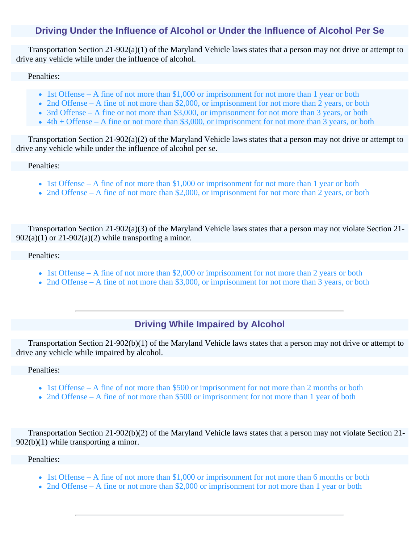## **Driving Under the Influence of Alcohol or Under the Influence of Alcohol Per Se**

Transportation Section 21-902(a)(1) of the Maryland Vehicle laws states that a person may not drive or attempt to drive any vehicle while under the influence of alcohol.

#### Penalties:

- 1st Offense A fine of not more than \$1,000 or imprisonment for not more than 1 year or both
- 2nd Offense A fine of not more than \$2,000, or imprisonment for not more than 2 years, or both
- 3rd Offense A fine or not more than \$3,000, or imprisonment for not more than 3 years, or both
- $\bullet$  4th + Offense A fine or not more than \$3,000, or imprisonment for not more than 3 years, or both

Transportation Section 21-902(a)(2) of the Maryland Vehicle laws states that a person may not drive or attempt to drive any vehicle while under the influence of alcohol per se.

#### Penalties:

- 1st Offense A fine of not more than \$1,000 or imprisonment for not more than 1 year or both
- 2nd Offense A fine of not more than \$2,000, or imprisonment for not more than 2 years, or both

Transportation Section 21-902(a)(3) of the Maryland Vehicle laws states that a person may not violate Section 21-  $902(a)(1)$  or  $21-902(a)(2)$  while transporting a minor.

#### Penalties:

- 1st Offense A fine of not more than \$2,000 or imprisonment for not more than 2 years or both
- 2nd Offense A fine of not more than \$3,000, or imprisonment for not more than 3 years, or both

### **Driving While Impaired by Alcohol**

Transportation Section 21-902(b)(1) of the Maryland Vehicle laws states that a person may not drive or attempt to drive any vehicle while impaired by alcohol.

### Penalties:

- 1st Offense A fine of not more than \$500 or imprisonment for not more than 2 months or both
- 2nd Offense A fine of not more than \$500 or imprisonment for not more than 1 year of both

Transportation Section 21-902(b)(2) of the Maryland Vehicle laws states that a person may not violate Section 21- 902(b)(1) while transporting a minor.

### Penalties:

- 1st Offense A fine of not more than \$1,000 or imprisonment for not more than 6 months or both
- 2nd Offense A fine or not more than \$2,000 or imprisonment for not more than 1 year or both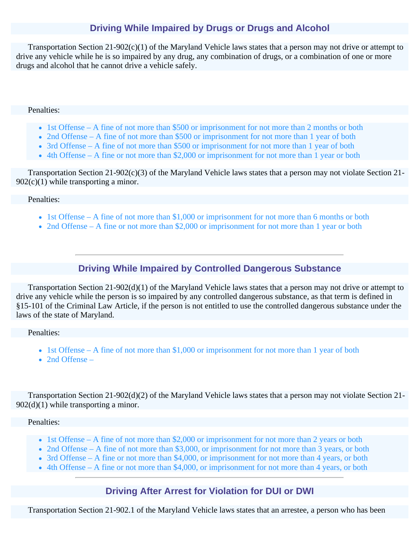# **Driving While Impaired by Drugs or Drugs and Alcohol**

Transportation Section 21-902(c)(1) of the Maryland Vehicle laws states that a person may not drive or attempt to drive any vehicle while he is so impaired by any drug, any combination of drugs, or a combination of one or more drugs and alcohol that he cannot drive a vehicle safely.

### Penalties:

- 1st Offense A fine of not more than \$500 or imprisonment for not more than 2 months or both
- 2nd Offense A fine of not more than \$500 or imprisonment for not more than 1 year of both
- 3rd Offense A fine of not more than \$500 or imprisonment for not more than 1 year of both
- 4th Offense A fine or not more than \$2,000 or imprisonment for not more than 1 year or both

Transportation Section 21-902(c)(3) of the Maryland Vehicle laws states that a person may not violate Section 21-  $902(c)(1)$  while transporting a minor.

### Penalties:

- 1st Offense A fine of not more than \$1,000 or imprisonment for not more than 6 months or both
- 2nd Offense A fine or not more than \$2,000 or imprisonment for not more than 1 year or both

## **Driving While Impaired by Controlled Dangerous Substance**

Transportation Section 21-902(d)(1) of the Maryland Vehicle laws states that a person may not drive or attempt to drive any vehicle while the person is so impaired by any controlled dangerous substance, as that term is defined in §15-101 of the Criminal Law Article, if the person is not entitled to use the controlled dangerous substance under the laws of the state of Maryland.

### Penalties:

- 1st Offense A fine of not more than \$1,000 or imprisonment for not more than 1 year of both
- 2nd Offense –

Transportation Section 21-902(d)(2) of the Maryland Vehicle laws states that a person may not violate Section 21-  $902(d)(1)$  while transporting a minor.

### Penalties:

- 1st Offense A fine of not more than \$2,000 or imprisonment for not more than 2 years or both
- 2nd Offense A fine of not more than \$3,000, or imprisonment for not more than 3 years, or both
- 3rd Offense A fine or not more than \$4,000, or imprisonment for not more than 4 years, or both
- 4th Offense A fine or not more than \$4,000, or imprisonment for not more than 4 years, or both

### **Driving After Arrest for Violation for DUI or DWI**

Transportation Section 21-902.1 of the Maryland Vehicle laws states that an arrestee, a person who has been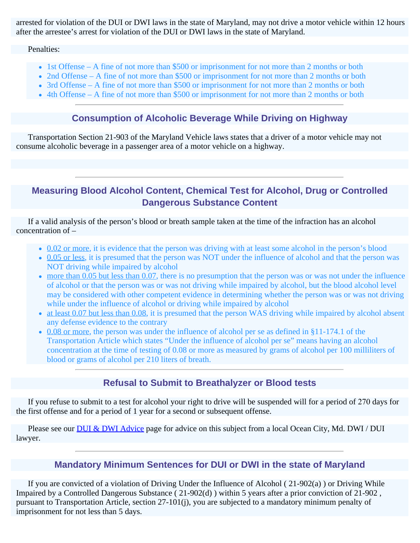arrested for violation of the DUI or DWI laws in the state of Maryland, may not drive a motor vehicle within 12 hours after the arrestee's arrest for violation of the DUI or DWI laws in the state of Maryland.

Penalties:

- 1st Offense A fine of not more than \$500 or imprisonment for not more than 2 months or both
- 2nd Offense A fine of not more than \$500 or imprisonment for not more than 2 months or both
- 3rd Offense A fine of not more than \$500 or imprisonment for not more than 2 months or both
- 4th Offense A fine of not more than \$500 or imprisonment for not more than 2 months or both

# **Consumption of Alcoholic Beverage While Driving on Highway**

Transportation Section 21-903 of the Maryland Vehicle laws states that a driver of a motor vehicle may not consume alcoholic beverage in a passenger area of a motor vehicle on a highway.

# **Measuring Blood Alcohol Content, Chemical Test for Alcohol, Drug or Controlled Dangerous Substance Content**

If a valid analysis of the person's blood or breath sample taken at the time of the infraction has an alcohol concentration of –

- 0.02 or more, it is evidence that the person was driving with at least some alcohol in the person's blood
- 0.05 or less, it is presumed that the person was NOT under the influence of alcohol and that the person was NOT driving while impaired by alcohol
- more than 0.05 but less than 0.07, there is no presumption that the person was or was not under the influence of alcohol or that the person was or was not driving while impaired by alcohol, but the blood alcohol level may be considered with other competent evidence in determining whether the person was or was not driving while under the influence of alcohol or driving while impaired by alcohol
- at least 0.07 but less than 0.08, it is presumed that the person WAS driving while impaired by alcohol absent any defense evidence to the contrary
- 0.08 or more, the person was under the influence of alcohol per se as defined in §11-174.1 of the Transportation Article which states "Under the influence of alcohol per se" means having an alcohol concentration at the time of testing of 0.08 or more as measured by grams of alcohol per 100 milliliters of blood or grams of alcohol per 210 liters of breath.

## **Refusal to Submit to Breathalyzer or Blood tests**

If you refuse to submit to a test for alcohol your right to drive will be suspended will for a period of 270 days for the first offense and for a period of 1 year for a second or subsequent offense.

Please see our **[DUI & DWI Advice](file:///var/folders/dq/bb0qll6504v8_wk2f7j_d4lh0000gn/T/drunk-drugged-impaired-advice.html)** page for advice on this subject from a local Ocean City, Md. DWI / DUI lawyer.

## **Mandatory Minimum Sentences for DUI or DWI in the state of Maryland**

If you are convicted of a violation of Driving Under the Influence of Alcohol ( 21-902(a) ) or Driving While Impaired by a Controlled Dangerous Substance ( 21-902(d) ) within 5 years after a prior conviction of 21-902 , pursuant to Transportation Article, section 27-101(j), you are subjected to a mandatory minimum penalty of imprisonment for not less than 5 days.